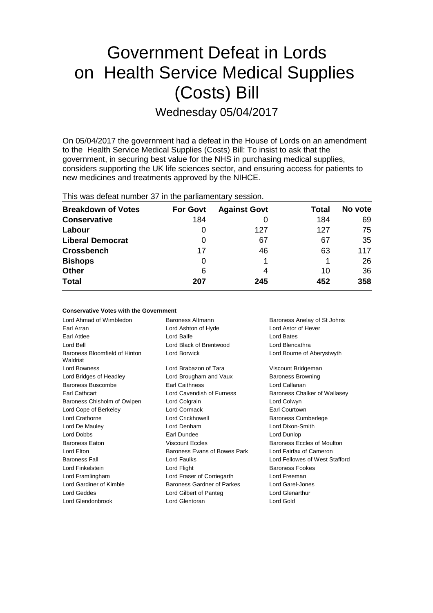# Government Defeat in Lords on Health Service Medical Supplies (Costs) Bill Wednesday 05/04/2017

On 05/04/2017 the government had a defeat in the House of Lords on an amendment to the Health Service Medical Supplies (Costs) Bill: To insist to ask that the government, in securing best value for the NHS in purchasing medical supplies, considers supporting the UK life sciences sector, and ensuring access for patients to new medicines and treatments approved by the NIHCE.

| <b>THIS WAS GETERLITED FOR THE LIFE PRITIALITED RAY SESSION.</b> |                 |                     |       |         |  |  |  |
|------------------------------------------------------------------|-----------------|---------------------|-------|---------|--|--|--|
| <b>Breakdown of Votes</b>                                        | <b>For Govt</b> | <b>Against Govt</b> | Total | No vote |  |  |  |
| <b>Conservative</b>                                              | 184             |                     | 184   | 69      |  |  |  |
| Labour                                                           | 0               | 127                 | 127   | 75      |  |  |  |
| <b>Liberal Democrat</b>                                          | 0               | 67                  | 67    | 35      |  |  |  |
| <b>Crossbench</b>                                                | 17              | 46                  | 63    | 117     |  |  |  |
| <b>Bishops</b>                                                   | 0               |                     |       | 26      |  |  |  |
| <b>Other</b>                                                     | 6               | 4                   | 10    | 36      |  |  |  |
| <b>Total</b>                                                     | 207             | 245                 | 452   | 358     |  |  |  |
|                                                                  |                 |                     |       |         |  |  |  |

This was defeat number 37 in the parliamentary session.

| <b>Conservative Votes with the Government</b> |                              |                                |  |
|-----------------------------------------------|------------------------------|--------------------------------|--|
| Lord Ahmad of Wimbledon                       | Baroness Altmann             | Baroness Anelay of St Johns    |  |
| Earl Arran                                    | Lord Ashton of Hyde          | <b>Lord Astor of Hever</b>     |  |
| Earl Attlee                                   | Lord Balfe                   | Lord Bates                     |  |
| Lord Bell                                     | Lord Black of Brentwood      | Lord Blencathra                |  |
| Baroness Bloomfield of Hinton<br>Waldrist     | Lord Borwick                 | Lord Bourne of Aberystwyth     |  |
| <b>Lord Bowness</b>                           | Lord Brabazon of Tara        | Viscount Bridgeman             |  |
| Lord Bridges of Headley                       | Lord Brougham and Vaux       | <b>Baroness Browning</b>       |  |
| Baroness Buscombe                             | <b>Earl Caithness</b>        | Lord Callanan                  |  |
| Earl Cathcart                                 | Lord Cavendish of Furness    | Baroness Chalker of Wallasey   |  |
| Baroness Chisholm of Owlpen                   | Lord Colgrain                | Lord Colwyn                    |  |
| Lord Cope of Berkeley                         | Lord Cormack                 | Earl Courtown                  |  |
| Lord Crathorne                                | Lord Crickhowell             | <b>Baroness Cumberlege</b>     |  |
| Lord De Mauley                                | Lord Denham                  | Lord Dixon-Smith               |  |
| <b>Lord Dobbs</b>                             | <b>Earl Dundee</b>           | Lord Dunlop                    |  |
| <b>Baroness Eaton</b>                         | <b>Viscount Eccles</b>       | Baroness Eccles of Moulton     |  |
| Lord Elton                                    | Baroness Evans of Bowes Park | Lord Fairfax of Cameron        |  |
| <b>Baroness Fall</b>                          | <b>Lord Faulks</b>           | Lord Fellowes of West Stafford |  |
| Lord Finkelstein                              | Lord Flight                  | <b>Baroness Fookes</b>         |  |
| Lord Framlingham                              | Lord Fraser of Corriegarth   | Lord Freeman                   |  |
| Lord Gardiner of Kimble                       | Baroness Gardner of Parkes   | Lord Garel-Jones               |  |
| Lord Geddes                                   | Lord Gilbert of Panteg       | Lord Glenarthur                |  |
| Lord Glendonbrook                             | Lord Glentoran               | Lord Gold                      |  |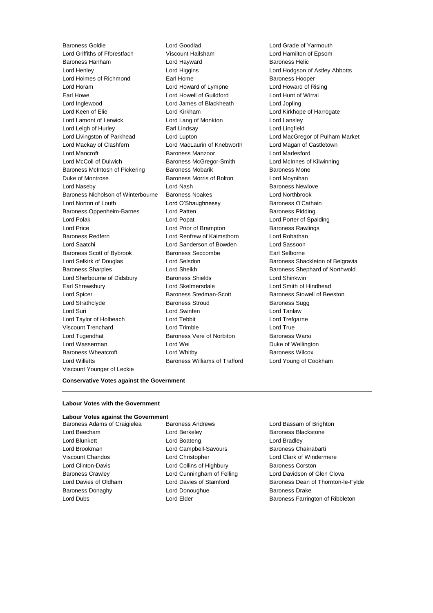Baroness Goldie Lord Goodlad Lord Grade of Yarmouth Lord Griffiths of Fforestfach Viscount Hailsham Lord Hamilton of Epsom Baroness Hanham Lord Hayward Baroness Helic Lord Henley Lord Higgins Lord Hodgson of Astley Abbotts Lord Holmes of Richmond Earl Home Earl Home Baroness Hooper Lord Horam Lord Howard of Lympne Lord Howard of Rising Earl Howe Lord Howell of Guildford Lord Hunt of Wirral Lord Inglewood Lord James of Blackheath Lord Jopling Lord Keen of Elie **Lord Kirkham** Lord Kirkham Lord Kirkhope of Harrogate Lord Lamont of Lerwick Lord Lang of Monkton Lord Lansley Lord Leigh of Hurley Earl Lindsay Lord Lingfield Lord Livingston of Parkhead Lord Lupton Lord MacGregor of Pulham Market Lord Mackay of Clashfern Lord MacLaurin of Knebworth Lord Magan of Castletown Lord Mancroft Baroness Manzoor Lord Marlesford Lord McColl of Dulwich Baroness McGregor-Smith Lord McInnes of Kilwinning Baroness McIntosh of Pickering Baroness Mobarik Baroness Mone Duke of Montrose The Baroness Morris of Bolton Theory Lord Moynihan Lord Naseby **Lord Nash Baroness Newlove Lord Nash** Baroness Newlove Baroness Nicholson of Winterbourne Baroness Noakes Lord Northbrook Lord Norton of Louth **Lord O'Shaughnessy** Baroness O'Cathain Baroness Oppenheim-Barnes and Lord Patten and Baroness Pidding Lord Polak Lord Cord Popat Lord Porter of Spalding Lord Price **Lord Prior of Brampton** Baroness Rawlings Baroness Redfern Lord Renfrew of Kaimsthorn Lord Robathan Lord Saatchi Lord Sanderson of Bowden Lord Sassoon Baroness Scott of Bybrook Baroness Seccombe Earl Selborne Lord Selkirk of Douglas **Lord Selsdon** Baroness Shackleton of Belgravia Baroness Sharples **Lord Sheikh Baroness Shephard of Northwold** Lord Sherbourne of Didsbury **Baroness Shields** Lord Shinkwin Earl Shrewsbury Lord Skelmersdale Lord Smith of Hindhead Lord Spicer Baroness Stedman-Scott Baroness Stowell of Beeston Lord Strathclyde **Baroness Stroud** Baroness Sugg Baroness Sugg Lord Suri Lord Swinfen Lord Tanlaw Lord Taylor of Holbeach **Lord Tebbit** Lord Tensies Lord Trefgarne Viscount Trenchard Lord Trimble Lord True Lord Tugendhat **Baroness Vere of Norbiton** Baroness Warsi Lord Wasserman **Lord Wei Lord Wei Duke of Wellington** Baroness Wheatcroft **Lord Whitby Baroness Wilcox** Lord Willetts Baroness Williams of Trafford Lord Young of Cookham Viscount Younger of Leckie

### **Conservative Votes against the Government**

### **Labour Votes with the Government**

### **Labour Votes against the Government**

Baroness Adams of Craigielea Baroness Andrews Baroness Andrews Lord Bassam of Brighton Lord Beecham **Lord Berkeley Baroness Blackstone** Lord Blunkett **Lord Boateng** Lord Bradley **Lord Bradley** Lord Brookman **Lord Campbell-Savours** Baroness Chakrabarti Viscount Chandos Lord Christopher Lord Clark of Windermere Lord Clinton-Davis **Lord Collins of Highbury** Baroness Corston Baroness Donaghy **Baroness Drake** Lord Donoughue **Baroness Drake** 

Baroness Crawley **Lord Cunningham of Felling** Lord Davidson of Glen Clova Lord Davies of Oldham Lord Davies of Stamford Baroness Dean of Thornton-le-Fylde Lord Dubs **Lord Elder Baroness Farrington of Ribbleton**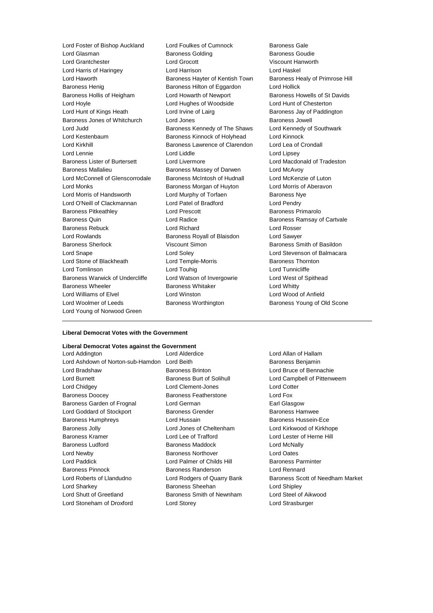Lord Foster of Bishop Auckland Lord Foulkes of Cumnock Baroness Gale<br>
Lord Glasman **Baroness Golding** Baroness Golding Baroness Goudie Lord Grantchester Lord Grocott Viscount Hanworth Lord Harris of Haringey Lord Harrison Lord Haskel Lord Haworth **Baroness Hayter of Kentish Town** Baroness Healy of Primrose Hill Baroness Henig **Baroness Hilton of Eggardon** Lord Hollick Baroness Hollis of Heigham Lord Howarth of Newport Baroness Howells of St Davids Lord Hoyle Lord Hughes of Woodside Lord Hunt of Chesterton Lord Hunt of Kings Heath Lord Irvine of Lairg **Baroness Jay of Paddington** Baroness Jones of Whitchurch Lord Jones Baroness Jowell Baroness Jowell Lord Judd **Baroness Kennedy of The Shaws** Lord Kennedy of Southwark Lord Kestenbaum Baroness Kinnock of Holyhead Lord Kinnock Lord Kirkhill **Baroness Lawrence of Clarendon** Lord Lea of Crondall Lord Lennie Lord Liddle Lord Lipsey Baroness Lister of Burtersett Lord Livermore Lord Macdonald of Tradeston Baroness Mallalieu Baroness Massey of Darwen Lord McAvoy Lord McConnell of Glenscorrodale Baroness McIntosh of Hudnall Lord McKenzie of Luton Lord Monks **Baroness Morgan of Huyton** Lord Morris of Aberavon Lord Morris of Handsworth **Lord Murphy of Torfaen** Baroness Nye Lord O'Neill of Clackmannan Lord Patel of Bradford Lord Pendry Baroness Pitkeathley **Exercise Server Exercise Contracts** Baroness Primarolo Baroness Quin **Communist Control** Lord Radice **Baroness Ramsay of Cartvale** Baroness Rebuck Lord Richard Lord Rosser Lord Rowlands Baroness Royall of Blaisdon Lord Sawyer Baroness Sherlock Viscount Simon Baroness Smith of Basildon Lord Snape Lord Soley Lord Stevenson of Balmacara Lord Stone of Blackheath Lord Temple-Morris **Baroness Thornton** Lord Tomlinson **Lord Touhig Lord Tunnicliffe** Lord Tunnicliffe Baroness Warwick of Undercliffe Lord Watson of Invergowrie Lord West of Spithead Baroness Wheeler **Baroness Whitaker** Lord Whitty Lord Williams of Elvel Lord Winston Lord Wood of Anfield Lord Woolmer of Leeds **Baroness Worthington** Baroness Young of Old Scone Lord Young of Norwood Green

Baroness Golding

### **Liberal Democrat Votes with the Government**

### **Liberal Democrat Votes against the Government**

| Lord Alderdice                               | Lord Allan o       |
|----------------------------------------------|--------------------|
| Lord Ashdown of Norton-sub-Hamdon Lord Beith | <b>Baroness B</b>  |
| <b>Baroness Brinton</b>                      | Lord Bruce         |
| <b>Baroness Burt of Solihull</b>             | Lord Campl         |
| Lord Clement-Jones                           | <b>Lord Cotter</b> |
| <b>Baroness Featherstone</b>                 | Lord Fox           |
| Lord German                                  | Earl Glasgo        |
| <b>Baroness Grender</b>                      | Baroness H         |
| Lord Hussain                                 | Baroness H         |
| Lord Jones of Cheltenham                     | Lord Kirkwo        |
| Lord Lee of Trafford                         | <b>Lord Lester</b> |
| <b>Baroness Maddock</b>                      | Lord McNal         |
| <b>Baroness Northover</b>                    | Lord Oates         |
| Lord Palmer of Childs Hill                   | <b>Baroness P</b>  |
| <b>Baroness Randerson</b>                    | Lord Renna         |
| Lord Rodgers of Quarry Bank                  | <b>Baroness S</b>  |
| Baroness Sheehan                             | Lord Shiple        |
| Baroness Smith of Newnham                    | Lord Steel o       |
| Lord Storey                                  | <b>Lord Strasb</b> |
|                                              |                    |

ice Lord Allan of Hallam Baroness Benjamin rinton **Baroness Brinton** Lord Bruce of Bennachie urt of Solihull **Lord Campbell of Pittenweem** nt-Jones Lord Cotter an Baroness Earl Glasgow Lord Goddard of Stockport Baroness Grender Baroness Hamwee in **Baroness Hussein-Ece** of Cheltenham Lord Kirkwood of Kirkhope Trafford Lord Lester of Herne Hill **Baroness Ludits And McNally** r of Childs Hill **Baroness Parminter** anderson **Lord Rennard** rs of Quarry Bank Baroness Scott of Needham Market heehan Lord Shipley mith of Newnham Lord Steel of Aikwood Lord Strasburger